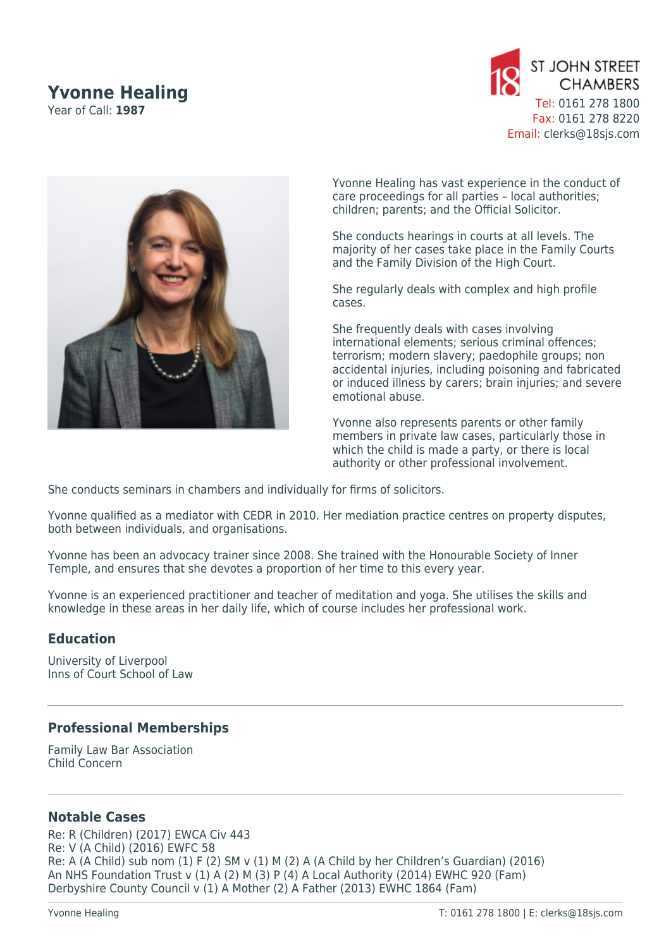## **Yvonne Healing**

Year of Call: **1987**





Yvonne Healing has vast experience in the conduct of care proceedings for all parties – local authorities; children; parents; and the Official Solicitor.

She conducts hearings in courts at all levels. The majority of her cases take place in the Family Courts and the Family Division of the High Court.

She regularly deals with complex and high profile cases.

She frequently deals with cases involving international elements; serious criminal offences; terrorism; modern slavery; paedophile groups; non accidental injuries, including poisoning and fabricated or induced illness by carers; brain injuries; and severe emotional abuse.

Yvonne also represents parents or other family members in private law cases, particularly those in which the child is made a party, or there is local authority or other professional involvement.

She conducts seminars in chambers and individually for firms of solicitors.

Yvonne qualified as a mediator with CEDR in 2010. Her mediation practice centres on property disputes, both between individuals, and organisations.

Yvonne has been an advocacy trainer since 2008. She trained with the Honourable Society of Inner Temple, and ensures that she devotes a proportion of her time to this every year.

Yvonne is an experienced practitioner and teacher of meditation and yoga. She utilises the skills and knowledge in these areas in her daily life, which of course includes her professional work.

## **Education**

University of Liverpool Inns of Court School of Law

## **Professional Memberships**

Family Law Bar Association Child Concern

## **Notable Cases**

Re: R (Children) (2017) EWCA Civ 443 Re: V (A Child) (2016) EWFC 58 Re: A (A Child) sub nom (1) F (2) SM v (1) M (2) A (A Child by her Children's Guardian) (2016) An NHS Foundation Trust v (1) A (2) M (3) P (4) A Local Authority (2014) EWHC 920 (Fam) Derbyshire County Council v (1) A Mother (2) A Father (2013) EWHC 1864 (Fam)